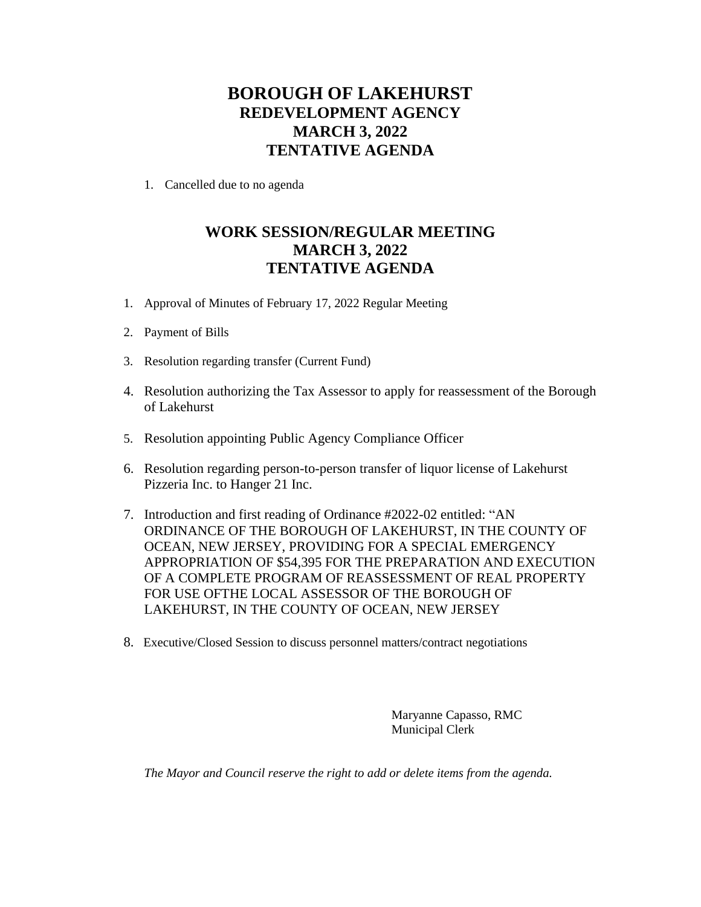## **BOROUGH OF LAKEHURST REDEVELOPMENT AGENCY MARCH 3, 2022 TENTATIVE AGENDA**

1. Cancelled due to no agenda

## **WORK SESSION/REGULAR MEETING MARCH 3, 2022 TENTATIVE AGENDA**

- 1. Approval of Minutes of February 17, 2022 Regular Meeting
- 2. Payment of Bills
- 3. Resolution regarding transfer (Current Fund)
- 4. Resolution authorizing the Tax Assessor to apply for reassessment of the Borough of Lakehurst
- 5. Resolution appointing Public Agency Compliance Officer
- 6. Resolution regarding person-to-person transfer of liquor license of Lakehurst Pizzeria Inc. to Hanger 21 Inc.
- 7. Introduction and first reading of Ordinance #2022-02 entitled: "AN ORDINANCE OF THE BOROUGH OF LAKEHURST, IN THE COUNTY OF OCEAN, NEW JERSEY, PROVIDING FOR A SPECIAL EMERGENCY APPROPRIATION OF \$54,395 FOR THE PREPARATION AND EXECUTION OF A COMPLETE PROGRAM OF REASSESSMENT OF REAL PROPERTY FOR USE OFTHE LOCAL ASSESSOR OF THE BOROUGH OF LAKEHURST, IN THE COUNTY OF OCEAN, NEW JERSEY
- 8. Executive/Closed Session to discuss personnel matters/contract negotiations

Maryanne Capasso, RMC Municipal Clerk

*The Mayor and Council reserve the right to add or delete items from the agenda.*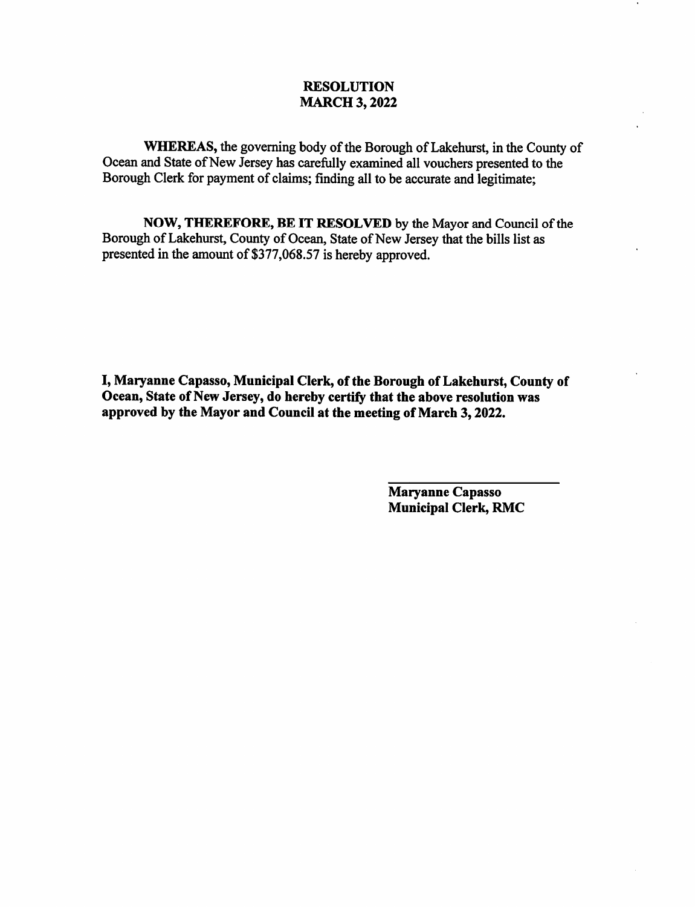### **RESOLUTION MARCH 3, 2022**

WHEREAS, the governing body of the Borough of Lakehurst, in the County of Ocean and State of New Jersey has carefully examined all vouchers presented to the Borough Clerk for payment of claims; finding all to be accurate and legitimate;

NOW, THEREFORE, BE IT RESOLVED by the Mayor and Council of the Borough of Lakehurst, County of Ocean, State of New Jersey that the bills list as presented in the amount of \$377,068.57 is hereby approved.

I, Maryanne Capasso, Municipal Clerk, of the Borough of Lakehurst, County of Ocean, State of New Jersey, do hereby certify that the above resolution was approved by the Mayor and Council at the meeting of March 3, 2022.

> **Maryanne Capasso** Municipal Clerk, RMC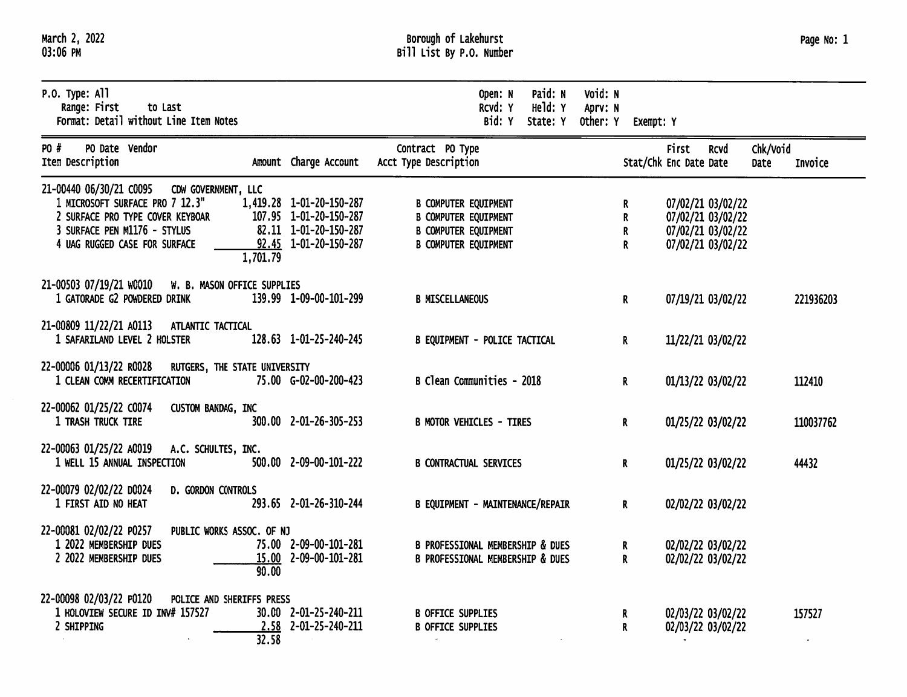| March 2, 2022 |  |
|---------------|--|
| 03:06 PM      |  |

| $P.0.$ Type: All<br>Range: First<br>to Last<br>Format: Detail without Line Item Notes                                                                                                           |                                                                                                      | Paid: N<br>Open: N<br>Held: Y<br>RCVd: Y<br>Bid: Y<br>State: Y                                                           | Void: N<br>Aprv: N<br>Other: Y Exempt: Y |                                                                                  |                                 |                     |
|-------------------------------------------------------------------------------------------------------------------------------------------------------------------------------------------------|------------------------------------------------------------------------------------------------------|--------------------------------------------------------------------------------------------------------------------------|------------------------------------------|----------------------------------------------------------------------------------|---------------------------------|---------------------|
| PO Date Vendor<br>PO #<br>Item Description                                                                                                                                                      | Amount Charge Account                                                                                | Contract PO Type<br>Acct Type Description                                                                                |                                          | <b>First</b><br>Stat/Chk Enc Date Date                                           | Chk/Void<br><b>RCVd</b><br>Date | Invoice             |
| 21-00440 06/30/21 C0095 CDW GOVERNMENT, LLC<br>1 MICROSOFT SURFACE PRO 7 12.3"<br>2 SURFACE PRO TYPE COVER KEYBOAR<br>3 SURFACE PEN M1176 - STYLUS<br>4 UAG RUGGED CASE FOR SURFACE<br>1,701.79 | 1,419.28 1-01-20-150-287<br>107.95 1-01-20-150-287<br>82.11 1-01-20-150-287<br>92.45 1-01-20-150-287 | <b>B COMPUTER EQUIPMENT</b><br><b>B COMPUTER EQUIPMENT</b><br><b>B COMPUTER EQUIPMENT</b><br><b>B COMPUTER EQUIPMENT</b> | R.<br>R.<br>$\mathbf R$<br>$\mathbf{R}$  | 07/02/21 03/02/22<br>07/02/21 03/02/22<br>07/02/21 03/02/22<br>07/02/21 03/02/22 |                                 |                     |
| 21-00503 07/19/21 W0010<br>W. B. MASON OFFICE SUPPLIES<br>1 GATORADE G2 POWDERED DRINK                                                                                                          | 139.99 1-09-00-101-299                                                                               | <b>B MISCELLANEOUS</b>                                                                                                   | $\mathbf R$                              | 07/19/21 03/02/22                                                                |                                 | 221936203           |
| 21-00809 11/22/21 A0113<br>ATLANTIC TACTICAL<br>1 SAFARILAND LEVEL 2 HOLSTER                                                                                                                    | 128.63 1-01-25-240-245                                                                               | B EQUIPMENT - POLICE TACTICAL                                                                                            | $\mathbf{R}$                             | 11/22/21 03/02/22                                                                |                                 |                     |
| 22-00006 01/13/22 R0028<br>RUTGERS, THE STATE UNIVERSITY<br>1 CLEAN COMM RECERTIFICATION                                                                                                        | 75.00 G-02-00-200-423                                                                                | B Clean Communities - 2018                                                                                               | $\mathbf{R}$                             | 01/13/22 03/02/22                                                                |                                 | 112410              |
| 22-00062 01/25/22 C0074<br>CUSTOM BANDAG, INC<br>1 TRASH TRUCK TIRE                                                                                                                             | 300.00 2-01-26-305-253                                                                               | <b>B MOTOR VEHICLES - TIRES</b>                                                                                          | $\mathbf{R}$                             | 01/25/22 03/02/22                                                                |                                 | 110037762           |
| 22-00063 01/25/22 A0019 A.C. SCHULTES, INC.<br>1 WELL 15 ANNUAL INSPECTION                                                                                                                      | 500.00 2-09-00-101-222                                                                               | <b>B CONTRACTUAL SERVICES</b>                                                                                            | $\mathbf{R}$                             | 01/25/22 03/02/22                                                                |                                 | 44432               |
| 22-00079 02/02/22 D0024<br>D. GORDON CONTROLS<br>1 FIRST AID NO HEAT                                                                                                                            | 293.65 2-01-26-310-244                                                                               | B EQUIPMENT - MAINTENANCE/REPAIR                                                                                         | $\mathbf{R}$                             | 02/02/22 03/02/22                                                                |                                 |                     |
| 22-00081 02/02/22 P0257<br>PUBLIC WORKS ASSOC. OF NJ<br>1 2022 MEMBERSHIP DUES<br>2 2022 MEMBERSHIP DUES<br>90.00                                                                               | 75.00 2-09-00-101-281<br>15.00 2-09-00-101-281                                                       | <b>B PROFESSIONAL MEMBERSHIP &amp; DUES</b><br><b>B PROFESSIONAL MEMBERSHIP &amp; DUES</b>                               | R.<br>$\mathbf{R}$                       | 02/02/22 03/02/22<br>02/02/22 03/02/22                                           |                                 |                     |
| 22-00098 02/03/22 P0120<br>POLICE AND SHERIFFS PRESS<br>1 HOLOVIEW SECURE ID INV# 157527<br>2 SHIPPING<br>32.58                                                                                 | 30.00 2-01-25-240-211<br>2.58 2-01-25-240-211                                                        | <b>B OFFICE SUPPLIES</b><br><b>B OFFICE SUPPLIES</b>                                                                     | $\mathbf{R}$<br>R.                       | 02/03/22 03/02/22<br>02/03/22 03/02/22                                           |                                 | 157527<br>$\bullet$ |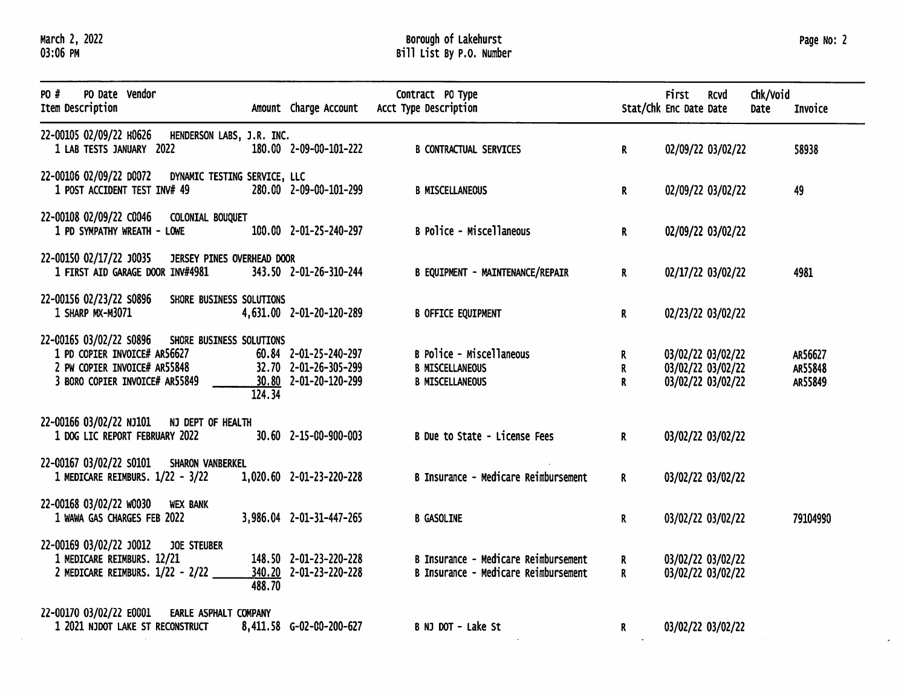March 2, 2022<br>03:06 PM

# Borough of Lakehurst<br>Bill List By P.O. Number

 $\sim 10^{-1}$ 

| PO #<br>PO Date Vendor<br>Item Description                                                                                                         |        | Amount Charge Account                                                   | Contract PO Type<br>Acct Type Description                                    | Stat/Chk Enc Date Date | First | <b>RCVd</b>                                                 | Chk/Void<br>Date | Invoice                       |
|----------------------------------------------------------------------------------------------------------------------------------------------------|--------|-------------------------------------------------------------------------|------------------------------------------------------------------------------|------------------------|-------|-------------------------------------------------------------|------------------|-------------------------------|
| 22-00105 02/09/22 H0626 HENDERSON LABS, J.R. INC.<br>1 LAB TESTS JANUARY 2022                                                                      |        | 180.00 2-09-00-101-222                                                  | <b>B CONTRACTUAL SERVICES</b>                                                | R.                     |       | 02/09/22 03/02/22                                           |                  | 58938                         |
| 22-00106 02/09/22 D0072 DYNAMIC TESTING SERVICE, LLC<br>1 POST ACCIDENT TEST INV# 49                                                               |        | 280.00 2-09-00-101-299                                                  | <b>B MISCELLANEOUS</b>                                                       | $\mathbf R$            |       | 02/09/22 03/02/22                                           |                  | 49                            |
| 22-00108 02/09/22 C0046 COLONIAL BOUQUET<br>1 PD SYMPATHY WREATH - LOWE                                                                            |        | 100.00 2-01-25-240-297                                                  | B Police - Miscellaneous                                                     | R.                     |       | 02/09/22 03/02/22                                           |                  |                               |
| 22-00150 02/17/22 J0035 JERSEY PINES OVERHEAD DOOR<br>1 FIRST AID GARAGE DOOR INV#4981                                                             |        | 343.50 2-01-26-310-244                                                  | <b>B EQUIPMENT - MAINTENANCE/REPAIR</b>                                      | R.                     |       | 02/17/22 03/02/22                                           |                  | 4981                          |
| 22-00156 02/23/22 S0896<br>SHORE BUSINESS SOLUTIONS<br>1 SHARP MX-M3071                                                                            |        | 4,631.00 2-01-20-120-289                                                | <b>B OFFICE EQUIPMENT</b>                                                    | R                      |       | 02/23/22 03/02/22                                           |                  |                               |
| 22-00165 03/02/22 S0896 SHORE BUSINESS SOLUTIONS<br>1 PD COPIER INVOICE# AR56627<br>2 PW COPIER INVOICE# AR55848<br>3 BORO COPIER INVOICE# AR55849 | 124.34 | 60.84 2-01-25-240-297<br>32.70 2-01-26-305-299<br>30.80 2-01-20-120-299 | B Police - Miscellaneous<br><b>B MISCELLANEOUS</b><br><b>B MISCELLANEOUS</b> | R<br>R<br>$\mathbf R$  |       | 03/02/22 03/02/22<br>03/02/22 03/02/22<br>03/02/22 03/02/22 |                  | AR56627<br>AR55848<br>AR55849 |
| 22-00166 03/02/22 NJ101 NJ DEPT OF HEALTH<br>1 DOG LIC REPORT FEBRUARY 2022                                                                        |        | 30.60 2-15-00-900-003                                                   | B Due to State - License Fees                                                | $\mathbf{R}$           |       | 03/02/22 03/02/22                                           |                  |                               |
| 22-00167 03/02/22 S0101 SHARON VANBERKEL<br>1 MEDICARE REIMBURS. 1/22 - 3/22                                                                       |        | 1,020.60 2-01-23-220-228                                                | B Insurance - Medicare Reimbursement                                         | $\mathsf{R}$           |       | 03/02/22 03/02/22                                           |                  |                               |
| 22-00168 03/02/22 W0030 WEX BANK<br>1 WAWA GAS CHARGES FEB 2022                                                                                    |        | 3,986.04 2-01-31-447-265                                                | <b>B GASOLINE</b>                                                            | $\mathbf{R}$           |       | 03/02/22 03/02/22                                           |                  | 79104990                      |
| 22-00169 03/02/22 J0012 JOE STEUBER<br>1 MEDICARE REIMBURS. 12/21<br>2 MEDICARE REIMBURS. 1/22 - 2/22                                              | 488.70 | 148.50 2-01-23-220-228<br>340.20 2-01-23-220-228                        | B Insurance - Medicare Reimbursement<br>B Insurance - Medicare Reimbursement | R<br>R.                |       | 03/02/22 03/02/22<br>03/02/22 03/02/22                      |                  |                               |
| 22-00170 03/02/22 E0001<br><b>EARLE ASPHALT COMPANY</b><br>1 2021 NJDOT LAKE ST RECONSTRUCT                                                        |        | 8,411.58 G-02-00-200-627                                                | B NJ DOT - Lake St                                                           | $\mathbf{R}$           |       | 03/02/22 03/02/22                                           |                  |                               |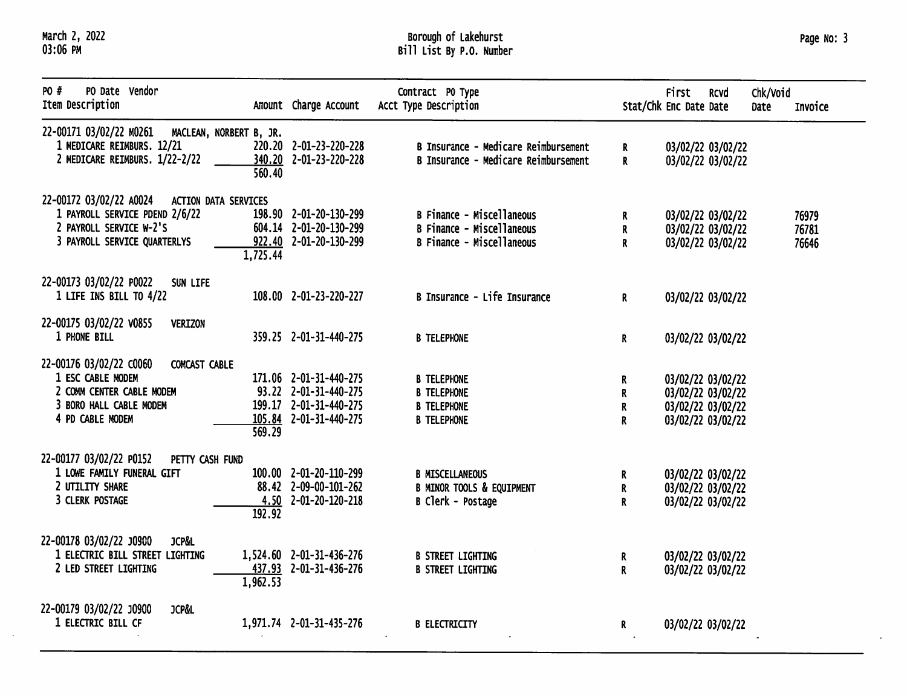March 2, 2022<br>03:06 PM

 $\sim$ 

# Borough of Lakehurst<br>Bill List By P.O. Number

| Page No: 3 |  |
|------------|--|
|            |  |

÷,

| PO #<br>PO Date Vendor<br>Item Description                                                                                                                      | Amount Charge Account                                                                               | Contract PO Type<br>Acct Type Description                                                         |                          | First<br>Stat/Chk Enc Date Date                                                  | <b>RCVd</b>                            | Chk/Void<br>Date | Invoice                 |
|-----------------------------------------------------------------------------------------------------------------------------------------------------------------|-----------------------------------------------------------------------------------------------------|---------------------------------------------------------------------------------------------------|--------------------------|----------------------------------------------------------------------------------|----------------------------------------|------------------|-------------------------|
| 22-00171 03/02/22 M0261<br>MACLEAN, NORBERT B, JR.<br>1 MEDICARE REIMBURS. 12/21<br>2 MEDICARE REIMBURS. 1/22-2/22<br>340.20<br>560.40                          | 220.20 2-01-23-220-228<br>2-01-23-220-228                                                           | B Insurance - Medicare Reimbursement<br>B Insurance - Medicare Reimbursement                      | R<br>R                   |                                                                                  | 03/02/22 03/02/22<br>03/02/22 03/02/22 |                  |                         |
| 22-00172 03/02/22 A0024<br><b>ACTION DATA SERVICES</b><br>1 PAYROLL SERVICE PDEND 2/6/22<br>2 PAYROLL SERVICE W-2'S<br>3 PAYROLL SERVICE QUARTERLYS<br>1,725.44 | 198.90 2-01-20-130-299<br>604.14 2-01-20-130-299<br>922.40 2-01-20-130-299                          | <b>B Finance - Miscellaneous</b><br><b>B Finance - Miscellaneous</b><br>B Finance - Miscellaneous | R.<br>R<br>$\mathsf{R}$  | 03/02/22 03/02/22                                                                | 03/02/22 03/02/22<br>03/02/22 03/02/22 |                  | 76979<br>76781<br>76646 |
| 22-00173 03/02/22 P0022<br>SUN LIFE<br>1 LIFE INS BILL TO 4/22                                                                                                  | 108.00 2-01-23-220-227                                                                              | B Insurance - Life Insurance                                                                      | $\mathbf{R}$             | 03/02/22 03/02/22                                                                |                                        |                  |                         |
| 22-00175 03/02/22 v0855<br><b>VERIZON</b><br>1 PHONE BILL                                                                                                       | 359.25 2-01-31-440-275                                                                              | <b>B TELEPHONE</b>                                                                                | R                        | 03/02/22 03/02/22                                                                |                                        |                  |                         |
| 22-00176 03/02/22 C0060<br>COMCAST CABLE<br>1 ESC CABLE MODEM<br>2 COMM CENTER CABLE MODEM<br>3 BORO HALL CABLE MODEM<br>4 PD CABLE MODEM<br>569.29             | 171.06 2-01-31-440-275<br>93.22 2-01-31-440-275<br>199.17 2-01-31-440-275<br>105.84 2-01-31-440-275 | <b>B TELEPHONE</b><br><b>B TELEPHONE</b><br><b>B TELEPHONE</b><br><b>B TELEPHONE</b>              | R<br>R<br>${\bf R}$<br>R | 03/02/22 03/02/22<br>03/02/22 03/02/22<br>03/02/22 03/02/22<br>03/02/22 03/02/22 |                                        |                  |                         |
| 22-00177 03/02/22 P0152<br>PETTY CASH FUND<br>1 LOWE FAMILY FUNERAL GIFT<br>2 UTILITY SHARE<br>3 CLERK POSTAGE<br>192.92                                        | 100.00 2-01-20-110-299<br>88.42 2-09-00-101-262<br>$4.50$ $2-01-20-120-218$                         | <b>B MISCELLANEOUS</b><br><b>B MINOR TOOLS &amp; EQUIPMENT</b><br>B Clerk - Postage               | R.<br>$\mathbf R$<br>R.  | 03/02/22 03/02/22<br>03/02/22 03/02/22<br>03/02/22 03/02/22                      |                                        |                  |                         |
| 22-00178 03/02/22 J0900<br><b>JCP&amp;L</b><br>1 ELECTRIC BILL STREET LIGHTING<br>2 LED STREET LIGHTING<br>1,962.53                                             | 1,524.60 2-01-31-436-276<br>437.93 2-01-31-436-276                                                  | <b>B STREET LIGHTING</b><br><b>B STREET LIGHTING</b>                                              | R<br>$\mathbf{R}$        | 03/02/22 03/02/22<br>03/02/22 03/02/22                                           |                                        |                  |                         |
| 22-00179 03/02/22 J0900<br><b>JCP&amp;L</b><br>1 ELECTRIC BILL CF                                                                                               | 1,971.74 2-01-31-435-276                                                                            | <b>B ELECTRICITY</b>                                                                              | R                        | 03/02/22 03/02/22                                                                |                                        |                  |                         |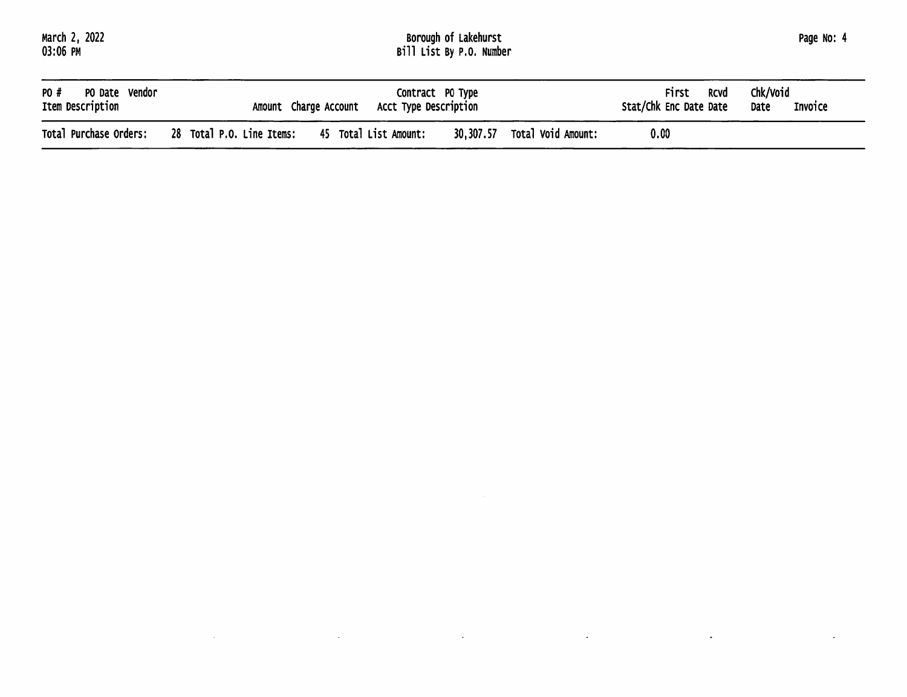$\mathcal{L}^{\mathcal{L}}(\mathcal{L}^{\mathcal{L}})$  and  $\mathcal{L}^{\mathcal{L}}(\mathcal{L}^{\mathcal{L}})$  . The contribution of the contribution of  $\mathcal{L}^{\mathcal{L}}$ 

 $\mathcal{A}^{\mathcal{A}}$ 

# Borough of Lakehurst<br>Bill List By P.O. Number

| Page No: 4 |  |
|------------|--|
|            |  |
|            |  |

 $\mathcal{L}_{\mathcal{A}}$ 

 $\mathcal{L}^{\pm}$ 

 $\mathbb{Z}^2$ 

| PO #                   | Contract PO Type                                                                      | First                  | Chk/void |
|------------------------|---------------------------------------------------------------------------------------|------------------------|----------|
| PO Date Vendor         | Acct Type Description                                                                 | <b>RCVd</b>            | Invoice  |
| Item Description       | Amount Charge Account                                                                 | Stat/Chk Enc Date Date | Date     |
| Total Purchase Orders: | 30,307.57<br>28 Total P.O. Line Items:<br>Total Void Amount:<br>45 Total List Amount: | 0.00                   |          |

 $\mathcal{L}$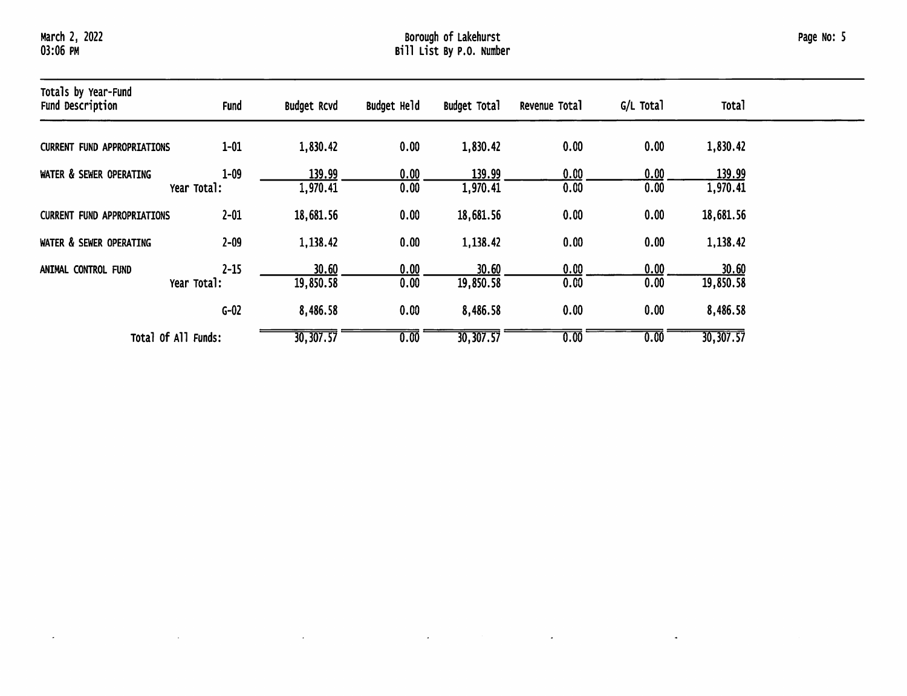$\sim$ 

 $\mathcal{L}$ 

 $\mathcal{L}$ 

# Borough of Lakehurst<br>Bill List By P.O. Number

| Totals by Year-Fund<br>Fund Description | <b>Fund</b>             | <b>Budget Rcvd</b> | Budget Held  | <b>Budget Total</b> | Revenue Total | G/L Total    | <b>Total</b>       |
|-----------------------------------------|-------------------------|--------------------|--------------|---------------------|---------------|--------------|--------------------|
| <b>CURRENT FUND APPROPRIATIONS</b>      | $1 - 01$                | 1,830.42           | 0.00         | 1,830.42            | 0.00          | 0.00         | 1,830.42           |
| WATER & SEWER OPERATING                 | $1 - 09$<br>Year Total: | 139.99<br>1,970.41 | 0.00<br>0.00 | 139.99<br>1,970.41  | 0.00<br>0.00  | 0.00<br>0.00 | 139.99<br>1,970.41 |
| <b>CURRENT FUND APPROPRIATIONS</b>      | $2 - 01$                | 18,681.56          | 0.00         | 18,681.56           | 0.00          | 0.00         | 18,681.56          |
| WATER & SEWER OPERATING                 | $2 - 09$                | 1,138.42           | 0.00         | 1,138.42            | 0.00          | 0.00         | 1,138.42           |
| ANIMAL CONTROL FUND                     | $2 - 15$<br>Year Total: | 30.60<br>19,850.58 | 0.00<br>0.00 | 30.60<br>19,850.58  | 0.00<br>0.00  | 0.00<br>0.00 | 30.60<br>19,850.58 |
|                                         | $G-02$                  | 8,486.58           | 0.00         | 8,486.58            | 0.00          | 0.00         | 8,486.58           |
| Total Of All Funds:                     |                         | 30, 307.57         | 0.00         | 30,307.57           | 0.00          | 0.00         | 30,307.57          |

 $\sim$ 

 $\mathcal{L}_{\mathcal{A}}$ 

 $\bullet$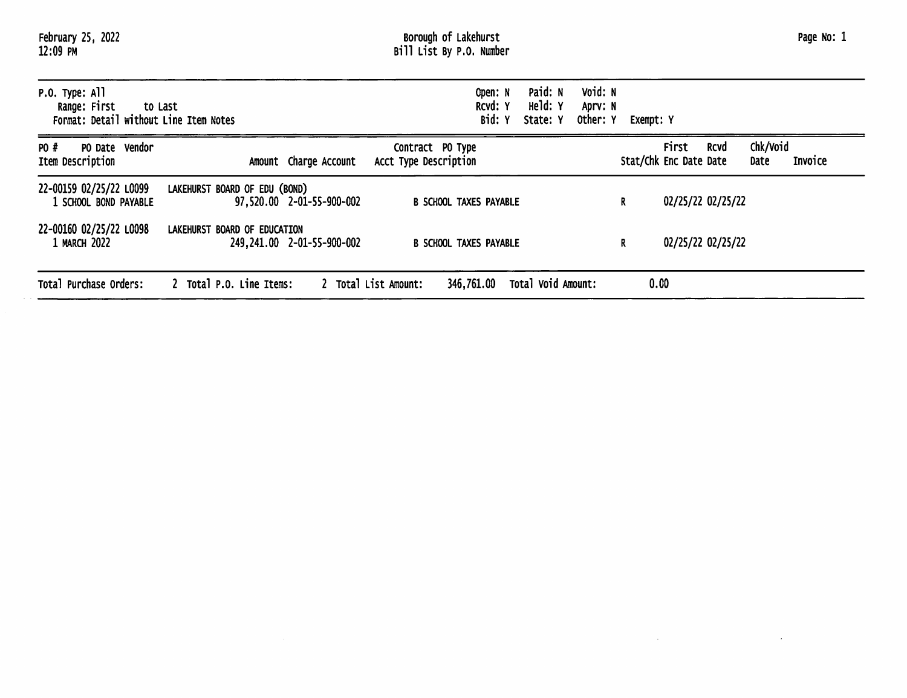| February 25, 2022<br>12:09 PM                                                         |                                                            | Borough of Lakehurst<br>Bill List By P.O. Number |                                |                                             |                                                       | Page No: 1                  |
|---------------------------------------------------------------------------------------|------------------------------------------------------------|--------------------------------------------------|--------------------------------|---------------------------------------------|-------------------------------------------------------|-----------------------------|
| $P.0.$ Type: All<br>Range: First<br>to Last<br>Format: Detail without Line Item Notes |                                                            | Open: N<br>RCVd: Y<br>Bid: Y                     | Paid: N<br>Held: Y<br>State: Y | Void: N<br>Aprv: N<br>Other: Y<br>Exempt: Y |                                                       |                             |
| PO #<br>PO Date Vendor<br>Item Description                                            | Amount Charge Account                                      | Contract PO Type<br>Acct Type Description        |                                |                                             | <b>First</b><br><b>RCVd</b><br>Stat/Chk Enc Date Date | Chk/Void<br>Invoice<br>Date |
| 22-00159 02/25/22 L0099<br>1 SCHOOL BOND PAYABLE                                      | LAKEHURST BOARD OF EDU (BOND)<br>97,520.00 2-01-55-900-002 | <b>B SCHOOL TAXES PAYABLE</b>                    |                                | R.                                          | 02/25/22 02/25/22                                     |                             |
| 22-00160 02/25/22 L0098<br>1 MARCH 2022                                               | LAKEHURST BOARD OF EDUCATION<br>249,241.00 2-01-55-900-002 | <b>B SCHOOL TAXES PAYABLE</b>                    |                                | R                                           | 02/25/22 02/25/22                                     |                             |
| Total Purchase Orders:                                                                | 2 Total P.O. Line Items:                                   | 2 Total List Amount:<br>346,761.00               | Total Void Amount:             |                                             | 0.00                                                  |                             |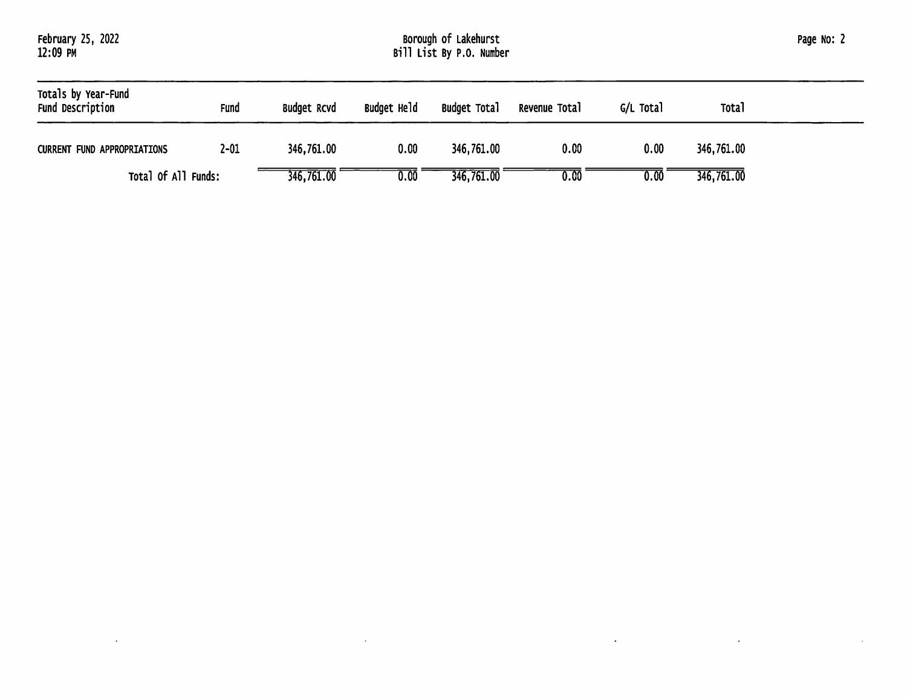| Totals by Year-Fund<br>Fund Description | Fund     | Budget RCVd | Budget Held | <b>Budget Total</b> | Revenue Total | G/L Total | <b>Total</b> |
|-----------------------------------------|----------|-------------|-------------|---------------------|---------------|-----------|--------------|
| <b>CURRENT FUND APPROPRIATIONS</b>      | $2 - 01$ | 346,761.00  | 0.00        | 346,761.00          | 0.00          | 0.00      | 346,761.00   |
| Total Of All Funds:                     |          | 346,761.00  | 0.00        | 346,761.00          | 0.00          | 0.00      | 346,761.00   |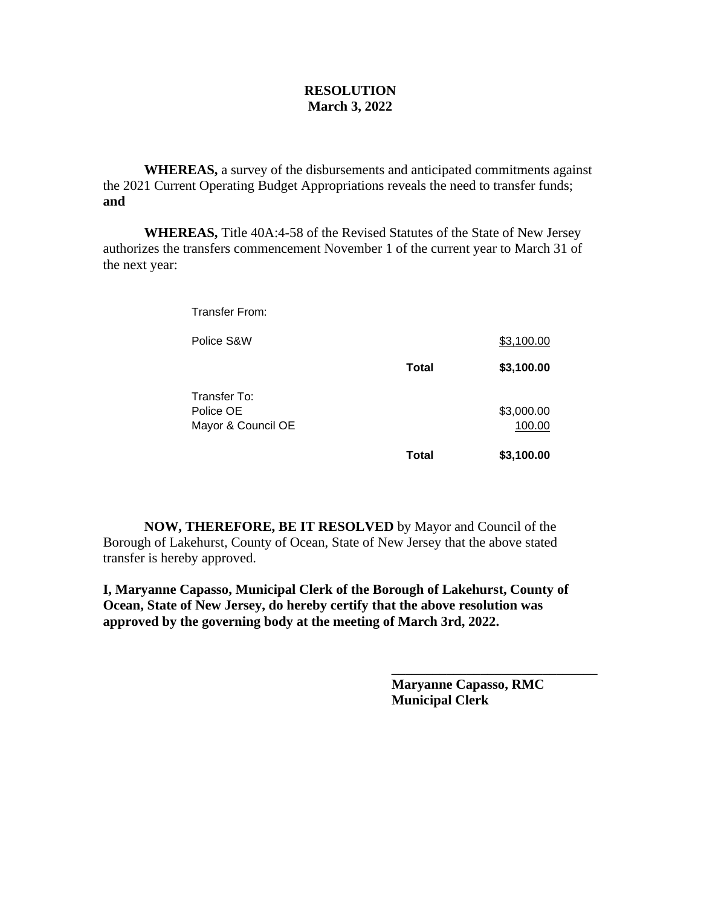#### **RESOLUTION March 3, 2022**

**WHEREAS,** a survey of the disbursements and anticipated commitments against the 2021 Current Operating Budget Appropriations reveals the need to transfer funds; **and**

**WHEREAS,** Title 40A:4-58 of the Revised Statutes of the State of New Jersey authorizes the transfers commencement November 1 of the current year to March 31 of the next year:

Transfer From:

| Police S&W                                      |       | \$3,100.00           |
|-------------------------------------------------|-------|----------------------|
|                                                 | Total | \$3,100.00           |
| Transfer To:<br>Police OE<br>Mayor & Council OE |       | \$3,000.00<br>100.00 |
|                                                 | Total | \$3,100.00           |

**NOW, THEREFORE, BE IT RESOLVED** by Mayor and Council of the Borough of Lakehurst, County of Ocean, State of New Jersey that the above stated transfer is hereby approved.

**I, Maryanne Capasso, Municipal Clerk of the Borough of Lakehurst, County of Ocean, State of New Jersey, do hereby certify that the above resolution was approved by the governing body at the meeting of March 3rd, 2022.**

> **Maryanne Capasso, RMC Municipal Clerk**

\_\_\_\_\_\_\_\_\_\_\_\_\_\_\_\_\_\_\_\_\_\_\_\_\_\_\_\_\_\_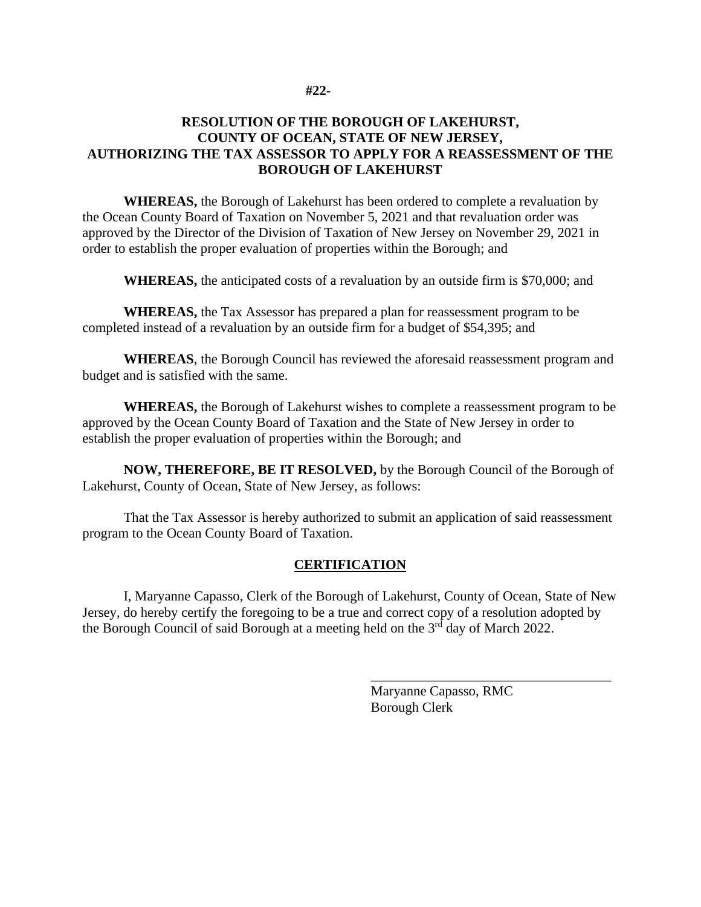#### **#22-**

### **RESOLUTION OF THE BOROUGH OF LAKEHURST, COUNTY OF OCEAN, STATE OF NEW JERSEY, AUTHORIZING THE TAX ASSESSOR TO APPLY FOR A REASSESSMENT OF THE BOROUGH OF LAKEHURST**

**WHEREAS,** the Borough of Lakehurst has been ordered to complete a revaluation by the Ocean County Board of Taxation on November 5, 2021 and that revaluation order was approved by the Director of the Division of Taxation of New Jersey on November 29, 2021 in order to establish the proper evaluation of properties within the Borough; and

**WHEREAS,** the anticipated costs of a revaluation by an outside firm is \$70,000; and

**WHEREAS,** the Tax Assessor has prepared a plan for reassessment program to be completed instead of a revaluation by an outside firm for a budget of \$54,395; and

**WHEREAS**, the Borough Council has reviewed the aforesaid reassessment program and budget and is satisfied with the same.

**WHEREAS,** the Borough of Lakehurst wishes to complete a reassessment program to be approved by the Ocean County Board of Taxation and the State of New Jersey in order to establish the proper evaluation of properties within the Borough; and

**NOW, THEREFORE, BE IT RESOLVED,** by the Borough Council of the Borough of Lakehurst, County of Ocean, State of New Jersey, as follows:

That the Tax Assessor is hereby authorized to submit an application of said reassessment program to the Ocean County Board of Taxation.

### **CERTIFICATION**

I, Maryanne Capasso, Clerk of the Borough of Lakehurst, County of Ocean, State of New Jersey, do hereby certify the foregoing to be a true and correct copy of a resolution adopted by the Borough Council of said Borough at a meeting held on the 3<sup>rd</sup> day of March 2022.

> Maryanne Capasso, RMC Borough Clerk

\_\_\_\_\_\_\_\_\_\_\_\_\_\_\_\_\_\_\_\_\_\_\_\_\_\_\_\_\_\_\_\_\_\_\_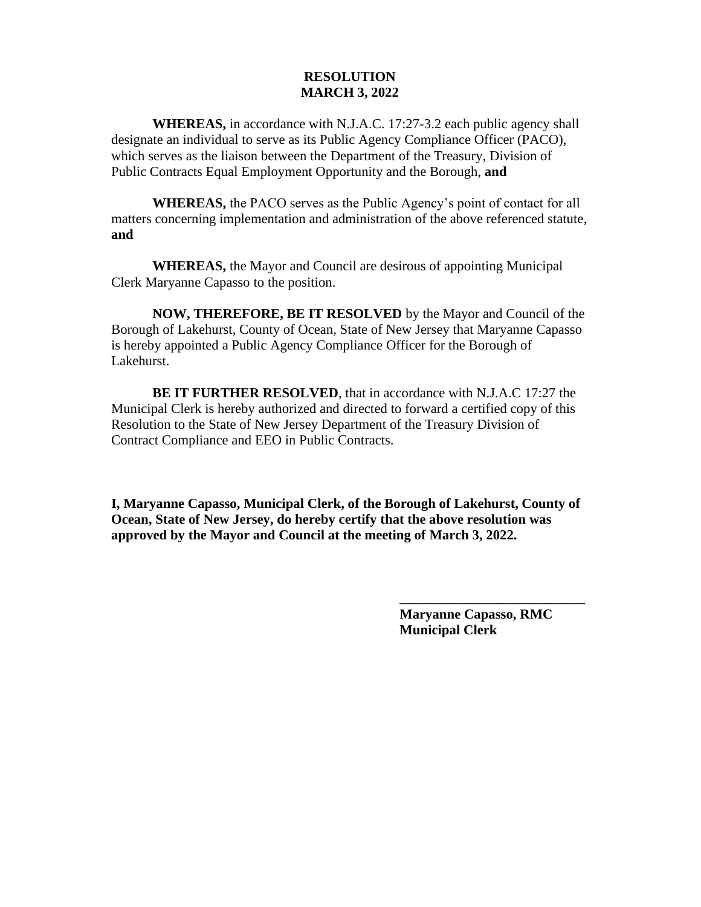#### **RESOLUTION MARCH 3, 2022**

**WHEREAS,** in accordance with N.J.A.C. 17:27-3.2 each public agency shall designate an individual to serve as its Public Agency Compliance Officer (PACO), which serves as the liaison between the Department of the Treasury, Division of Public Contracts Equal Employment Opportunity and the Borough, **and**

**WHEREAS,** the PACO serves as the Public Agency's point of contact for all matters concerning implementation and administration of the above referenced statute, **and**

**WHEREAS,** the Mayor and Council are desirous of appointing Municipal Clerk Maryanne Capasso to the position.

**NOW, THEREFORE, BE IT RESOLVED** by the Mayor and Council of the Borough of Lakehurst, County of Ocean, State of New Jersey that Maryanne Capasso is hereby appointed a Public Agency Compliance Officer for the Borough of Lakehurst.

**BE IT FURTHER RESOLVED**, that in accordance with N.J.A.C 17:27 the Municipal Clerk is hereby authorized and directed to forward a certified copy of this Resolution to the State of New Jersey Department of the Treasury Division of Contract Compliance and EEO in Public Contracts.

**I, Maryanne Capasso, Municipal Clerk, of the Borough of Lakehurst, County of Ocean, State of New Jersey, do hereby certify that the above resolution was approved by the Mayor and Council at the meeting of March 3, 2022.**

> **Maryanne Capasso, RMC Municipal Clerk**

**\_\_\_\_\_\_\_\_\_\_\_\_\_\_\_\_\_\_\_\_\_\_\_\_\_\_\_**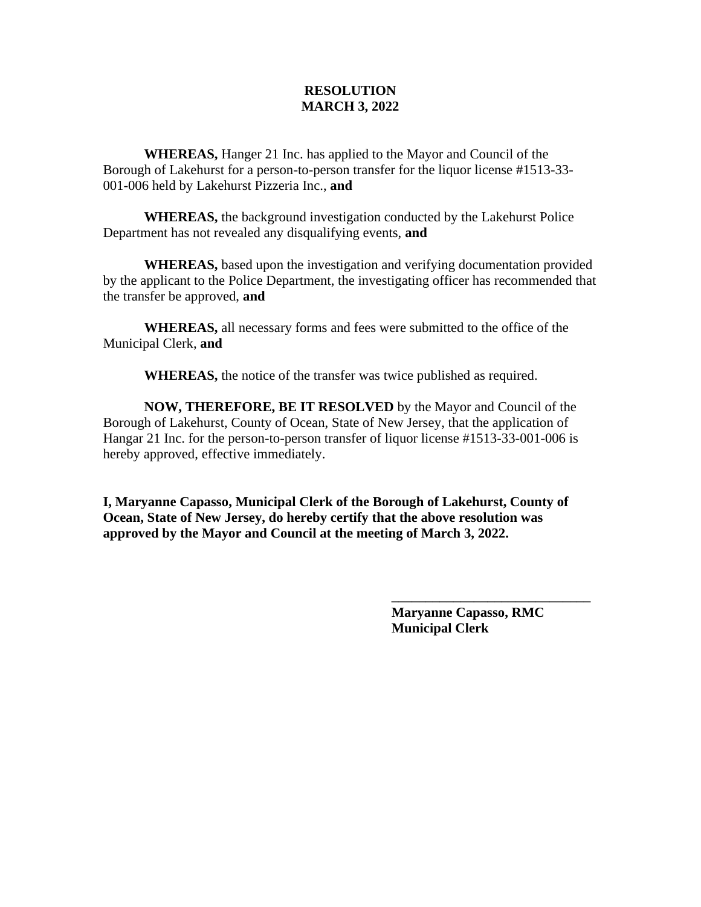### **RESOLUTION MARCH 3, 2022**

**WHEREAS,** Hanger 21 Inc. has applied to the Mayor and Council of the Borough of Lakehurst for a person-to-person transfer for the liquor license #1513-33- 001-006 held by Lakehurst Pizzeria Inc., **and**

**WHEREAS,** the background investigation conducted by the Lakehurst Police Department has not revealed any disqualifying events, **and**

**WHEREAS,** based upon the investigation and verifying documentation provided by the applicant to the Police Department, the investigating officer has recommended that the transfer be approved, **and**

**WHEREAS,** all necessary forms and fees were submitted to the office of the Municipal Clerk, **and**

**WHEREAS,** the notice of the transfer was twice published as required.

**NOW, THEREFORE, BE IT RESOLVED** by the Mayor and Council of the Borough of Lakehurst, County of Ocean, State of New Jersey, that the application of Hangar 21 Inc. for the person-to-person transfer of liquor license #1513-33-001-006 is hereby approved, effective immediately.

**I, Maryanne Capasso, Municipal Clerk of the Borough of Lakehurst, County of Ocean, State of New Jersey, do hereby certify that the above resolution was approved by the Mayor and Council at the meeting of March 3, 2022.**

> **Maryanne Capasso, RMC Municipal Clerk**

**\_\_\_\_\_\_\_\_\_\_\_\_\_\_\_\_\_\_\_\_\_\_\_\_\_\_\_\_\_**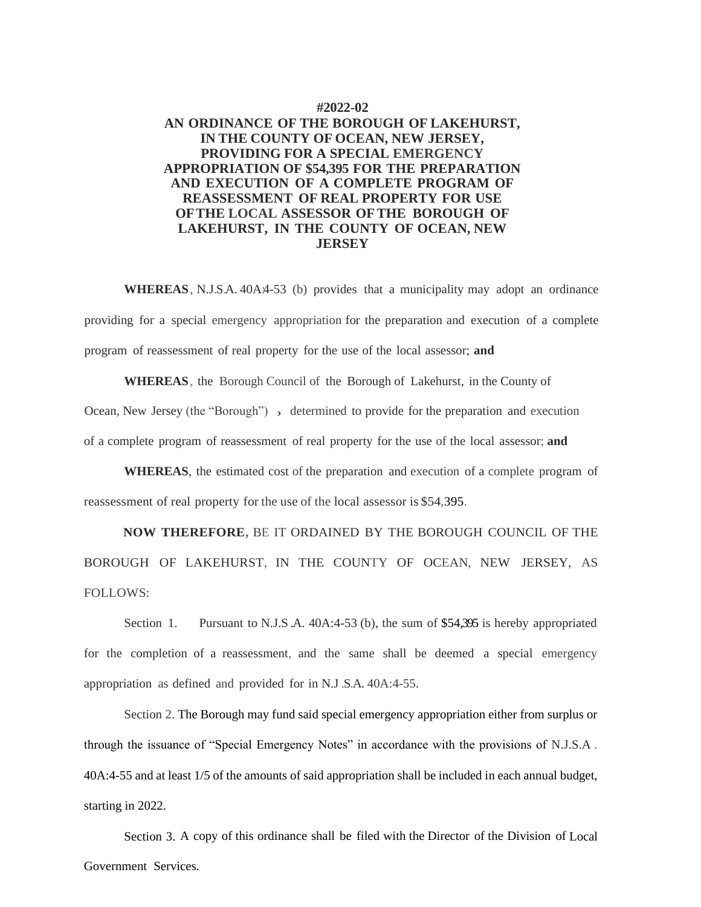#### **#2022-02**

#### **AN ORDINANCE OF THE BOROUGH OF LAKEHURST, IN THE COUNTY OF OCEAN, NEW JERSEY, PROVIDING FOR A SPECIAL EMERGENCY APPROPRIATION OF \$54,395 FOR THE PREPARATION AND EXECUTION OF A COMPLETE PROGRAM OF REASSESSMENT OF REAL PROPERTY FOR USE OFTHE LOCAL ASSESSOR OFTHE BOROUGH OF LAKEHURST, IN THE COUNTY OF OCEAN, NEW JERSEY**

WHEREAS, N.J.S.A. 40A:4-53 (b) provides that a municipality may adopt an ordinance providing for a special emergency appropriation for the preparation and execution of a complete program of reassessment of real property for the use of the local assessor; **and**

Ocean, New Jersey (the "Borough") > determined to provide for the preparation and execution **WHEREAS**, the Borough Council of the Borough of Lakehurst, in the County of of a complete program of reassessment of real property for the use of the local assessor; **and**

**WHEREAS**, the estimated cost of the preparation and execution of a complete program of reassessment of real property for the use of the local assessor is \$54,395.

**NOW THEREFORE,** BE IT ORDAINED BY THE BOROUGH COUNCIL OF THE BOROUGH OF LAKEHURST, IN THE COUNTY OF OCEAN, NEW JERSEY, AS FOLLOWS:

Section 1. Pursuant to N.J.S.A. 40A:4-53 (b), the sum of \$54,395 is hereby appropriated for the completion of a reassessment, and the same shall be deemed a special emergency appropriation as defined and provided for in N.J .S.A. 40A:4-55.

Section 2. The Borough may fund said special emergency appropriation either from surplus or through the issuance of "Special Emergency Notes" in accordance with the provisions of N.J.S.A . 40A:4-55 and at least 1/5 of the amounts of said appropriation shall be included in each annual budget, starting in 2022.

Section 3. A copy of this ordinance shall be filed with the Director of the Division of Local Government Services.